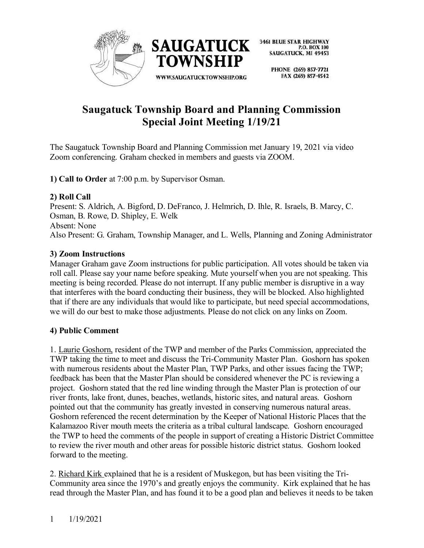

> PHONE (269) 857-7721 FAX (269) 857-4542

# **Saugatuck Township Board and Planning Commission Special Joint Meeting 1/19/21**

The Saugatuck Township Board and Planning Commission met January 19, 2021 via video Zoom conferencing. Graham checked in members and guests via ZOOM.

**1) Call to Order** at 7:00 p.m. by Supervisor Osman.

## **2) Roll Call**

Present: S. Aldrich, A. Bigford, D. DeFranco, J. Helmrich, D. Ihle, R. Israels, B. Marcy, C. Osman, B. Rowe, D. Shipley, E. Welk Absent: None Also Present: G. Graham, Township Manager, and L. Wells, Planning and Zoning Administrator

## **3) Zoom Instructions**

Manager Graham gave Zoom instructions for public participation. All votes should be taken via roll call. Please say your name before speaking. Mute yourself when you are not speaking. This meeting is being recorded. Please do not interrupt. If any public member is disruptive in a way that interferes with the board conducting their business, they will be blocked. Also highlighted that if there are any individuals that would like to participate, but need special accommodations, we will do our best to make those adjustments. Please do not click on any links on Zoom.

#### **4) Public Comment**

1. Laurie Goshorn, resident of the TWP and member of the Parks Commission, appreciated the TWP taking the time to meet and discuss the Tri-Community Master Plan. Goshorn has spoken with numerous residents about the Master Plan, TWP Parks, and other issues facing the TWP; feedback has been that the Master Plan should be considered whenever the PC is reviewing a project. Goshorn stated that the red line winding through the Master Plan is protection of our river fronts, lake front, dunes, beaches, wetlands, historic sites, and natural areas. Goshorn pointed out that the community has greatly invested in conserving numerous natural areas. Goshorn referenced the recent determination by the Keeper of National Historic Places that the Kalamazoo River mouth meets the criteria as a tribal cultural landscape. Goshorn encouraged the TWP to heed the comments of the people in support of creating a Historic District Committee to review the river mouth and other areas for possible historic district status. Goshorn looked forward to the meeting.

2. Richard Kirk explained that he is a resident of Muskegon, but has been visiting the Tri-Community area since the 1970's and greatly enjoys the community. Kirk explained that he has read through the Master Plan, and has found it to be a good plan and believes it needs to be taken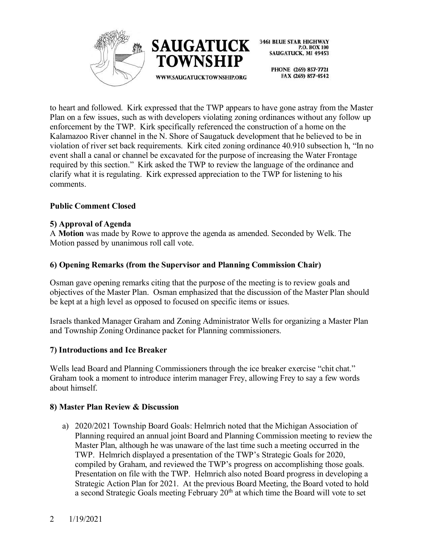



> PHONE (269) 857-7721 FAX (269) 857-4542

to heart and followed. Kirk expressed that the TWP appears to have gone astray from the Master Plan on a few issues, such as with developers violating zoning ordinances without any follow up enforcement by the TWP. Kirk specifically referenced the construction of a home on the Kalamazoo River channel in the N. Shore of Saugatuck development that he believed to be in violation of river set back requirements. Kirk cited zoning ordinance 40.910 subsection h, "In no event shall a canal or channel be excavated for the purpose of increasing the Water Frontage required by this section." Kirk asked the TWP to review the language of the ordinance and clarify what it is regulating. Kirk expressed appreciation to the TWP for listening to his comments.

## **Public Comment Closed**

#### **5) Approval of Agenda**

A **Motion** was made by Rowe to approve the agenda as amended. Seconded by Welk. The Motion passed by unanimous roll call vote.

## **6) Opening Remarks (from the Supervisor and Planning Commission Chair)**

Osman gave opening remarks citing that the purpose of the meeting is to review goals and objectives of the Master Plan. Osman emphasized that the discussion of the Master Plan should be kept at a high level as opposed to focused on specific items or issues.

Israels thanked Manager Graham and Zoning Administrator Wells for organizing a Master Plan and Township Zoning Ordinance packet for Planning commissioners.

#### **7) Introductions and Ice Breaker**

Wells lead Board and Planning Commissioners through the ice breaker exercise "chit chat." Graham took a moment to introduce interim manager Frey, allowing Frey to say a few words about himself.

#### **8) Master Plan Review & Discussion**

a) 2020/2021 Township Board Goals: Helmrich noted that the Michigan Association of Planning required an annual joint Board and Planning Commission meeting to review the Master Plan, although he was unaware of the last time such a meeting occurred in the TWP. Helmrich displayed a presentation of the TWP's Strategic Goals for 2020, compiled by Graham, and reviewed the TWP's progress on accomplishing those goals. Presentation on file with the TWP. Helmrich also noted Board progress in developing a Strategic Action Plan for 2021. At the previous Board Meeting, the Board voted to hold a second Strategic Goals meeting February  $20<sup>th</sup>$  at which time the Board will vote to set

#### 2 1/19/2021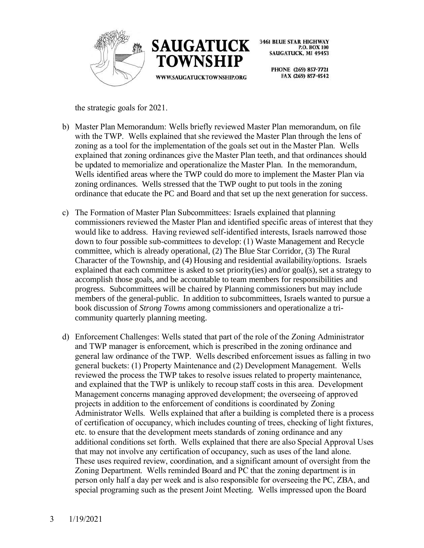



> PHONE (269) 857-7721 FAX (269) 857-4542

the strategic goals for 2021.

- b) Master Plan Memorandum: Wells briefly reviewed Master Plan memorandum, on file with the TWP. Wells explained that she reviewed the Master Plan through the lens of zoning as a tool for the implementation of the goals set out in the Master Plan. Wells explained that zoning ordinances give the Master Plan teeth, and that ordinances should be updated to memorialize and operationalize the Master Plan. In the memorandum, Wells identified areas where the TWP could do more to implement the Master Plan via zoning ordinances. Wells stressed that the TWP ought to put tools in the zoning ordinance that educate the PC and Board and that set up the next generation for success.
- c) The Formation of Master Plan Subcommittees: Israels explained that planning commissioners reviewed the Master Plan and identified specific areas of interest that they would like to address. Having reviewed self-identified interests, Israels narrowed those down to four possible sub-committees to develop: (1) Waste Management and Recycle committee, which is already operational, (2) The Blue Star Corridor, (3) The Rural Character of the Township, and (4) Housing and residential availability/options. Israels explained that each committee is asked to set priority(ies) and/or goal(s), set a strategy to accomplish those goals, and be accountable to team members for responsibilities and progress. Subcommittees will be chaired by Planning commissioners but may include members of the general-public. In addition to subcommittees, Israels wanted to pursue a book discussion of *Strong Towns* among commissioners and operationalize a tricommunity quarterly planning meeting.
- d) Enforcement Challenges: Wells stated that part of the role of the Zoning Administrator and TWP manager is enforcement, which is prescribed in the zoning ordinance and general law ordinance of the TWP. Wells described enforcement issues as falling in two general buckets: (1) Property Maintenance and (2) Development Management. Wells reviewed the process the TWP takes to resolve issues related to property maintenance, and explained that the TWP is unlikely to recoup staff costs in this area. Development Management concerns managing approved development; the overseeing of approved projects in addition to the enforcement of conditions is coordinated by Zoning Administrator Wells. Wells explained that after a building is completed there is a process of certification of occupancy, which includes counting of trees, checking of light fixtures, etc. to ensure that the development meets standards of zoning ordinance and any additional conditions set forth. Wells explained that there are also Special Approval Uses that may not involve any certification of occupancy, such as uses of the land alone. These uses required review, coordination, and a significant amount of oversight from the Zoning Department. Wells reminded Board and PC that the zoning department is in person only half a day per week and is also responsible for overseeing the PC, ZBA, and special programing such as the present Joint Meeting. Wells impressed upon the Board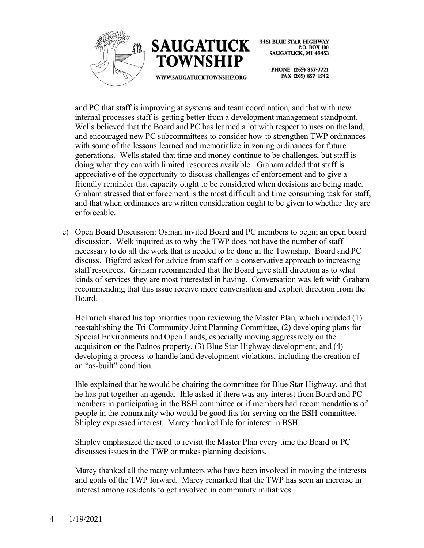



> PHONE (269) 857-7721 FAX (269) 857-4542

and PC that staff is improving at systems and team coordination, and that with new internal processes staff is getting better from a development management standpoint. Wells believed that the Board and PC has learned a lot with respect to uses on the land, and encouraged new PC subcommittees to consider how to strengthen TWP ordinances with some of the lessons learned and memorialize in zoning ordinances for future generations. Wells stated that time and money continue to be challenges, but staff is doing what they can with limited resources available. Graham added that staff is appreciative of the opportunity to discuss challenges of enforcement and to give a friendly reminder that capacity ought to be considered when decisions are being made. Graham stressed that enforcement is the most difficult and time consuming task for staff, and that when ordinances are written consideration ought to be given to whether they are enforceable.

e) Open Board Discussion: Osman invited Board and PC members to begin an open board discussion. Welk inquired as to why the TWP does not have the number of staff necessary to do all the work that is needed to be done in the Township. Board and PC discuss. Bigford asked for advice from staff on a conservative approach to increasing staff resources. Graham recommended that the Board give staff direction as to what kinds of services they are most interested in having. Conversation was left with Graham recommending that this issue receive more conversation and explicit direction from the Board.

Helmrich shared his top priorities upon reviewing the Master Plan, which included (1) reestablishing the Tri-Community Joint Planning Committee, (2) developing plans for Special Environments and Open Lands, especially moving aggressively on the acquisition on the Padnos property, (3) Blue Star Highway development, and (4) developing a process to handle land development violations, including the creation of an "as-built" condition.

Ihle explained that he would be chairing the committee for Blue Star Highway, and that he has put together an agenda. Ihle asked if there was any interest from Board and PC members in participating in the BSH committee or if members had recommendations of people in the community who would be good fits for serving on the BSH committee. Shipley expressed interest. Marcy thanked Ihle for interest in BSH.

Shipley emphasized the need to revisit the Master Plan every time the Board or PC discusses issues in the TWP or makes planning decisions.

Marcy thanked all the many volunteers who have been involved in moving the interests and goals of the TWP forward. Marcy remarked that the TWP has seen an increase in interest among residents to get involved in community initiatives.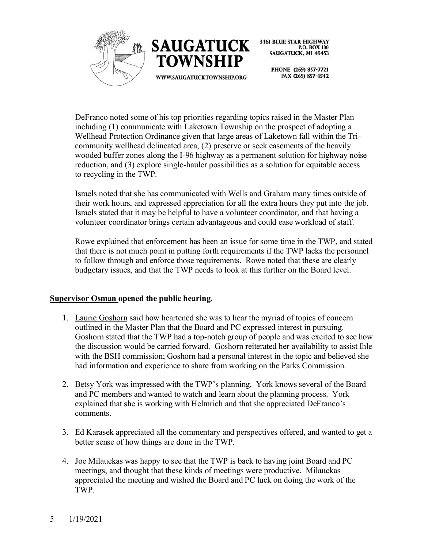



> PHONE (269) 857-7721 FAX (269) 857-4542

DeFranco noted some of his top priorities regarding topics raised in the Master Plan including (1) communicate with Laketown Township on the prospect of adopting a Wellhead Protection Ordinance given that large areas of Laketown fall within the Tricommunity wellhead delineated area, (2) preserve or seek easements of the heavily wooded buffer zones along the I-96 highway as a permanent solution for highway noise reduction, and (3) explore single-hauler possibilities as a solution for equitable access to recycling in the TWP.

Israels noted that she has communicated with Wells and Graham many times outside of their work hours, and expressed appreciation for all the extra hours they put into the job. Israels stated that it may be helpful to have a volunteer coordinator, and that having a volunteer coordinator brings certain advantageous and could ease workload of staff.

Rowe explained that enforcement has been an issue for some time in the TWP, and stated that there is not much point in putting forth requirements if the TWP lacks the personnel to follow through and enforce those requirements. Rowe noted that these are clearly budgetary issues, and that the TWP needs to look at this further on the Board level.

#### **Supervisor Osman opened the public hearing.**

- 1. Laurie Goshorn said how heartened she was to hear the myriad of topics of concern outlined in the Master Plan that the Board and PC expressed interest in pursuing. Goshorn stated that the TWP had a top-notch group of people and was excited to see how the discussion would be carried forward. Goshorn reiterated her availability to assist Ihle with the BSH commission; Goshorn had a personal interest in the topic and believed she had information and experience to share from working on the Parks Commission.
- 2. Betsy York was impressed with the TWP's planning. York knows several of the Board and PC members and wanted to watch and learn about the planning process. York explained that she is working with Helmrich and that she appreciated DeFranco's comments.
- 3. Ed Karasek appreciated all the commentary and perspectives offered, and wanted to get a better sense of how things are done in the TWP.
- 4. Joe Milauckas was happy to see that the TWP is back to having joint Board and PC meetings, and thought that these kinds of meetings were productive. Milauckas appreciated the meeting and wished the Board and PC luck on doing the work of the TWP.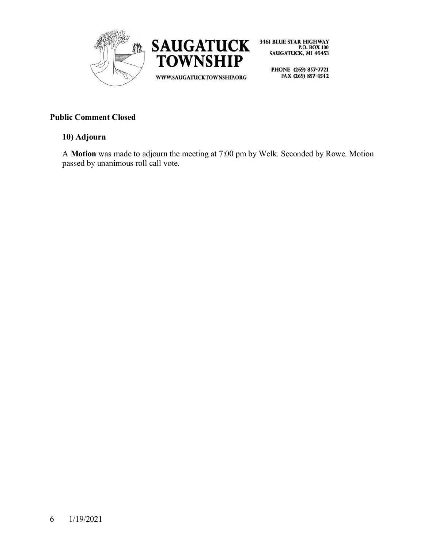



PHONE (269) 857-7721 FAX (269) 857-4542

# **Public Comment Closed**

#### **10) Adjourn**

A **Motion** was made to adjourn the meeting at 7:00 pm by Welk. Seconded by Rowe. Motion passed by unanimous roll call vote.